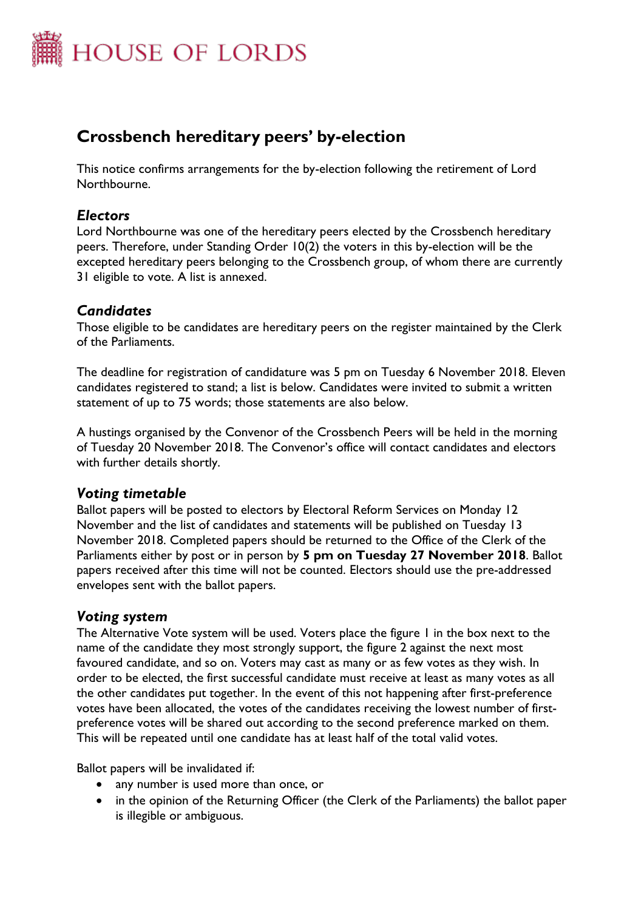

# **Crossbench hereditary peers' by-election**

This notice confirms arrangements for the by-election following the retirement of Lord Northbourne.

#### *Electors*

Lord Northbourne was one of the hereditary peers elected by the Crossbench hereditary peers. Therefore, under Standing Order 10(2) the voters in this by-election will be the excepted hereditary peers belonging to the Crossbench group, of whom there are currently 31 eligible to vote. A list is annexed.

## *Candidates*

Those eligible to be candidates are hereditary peers on the register maintained by the Clerk of the Parliaments.

The deadline for registration of candidature was 5 pm on Tuesday 6 November 2018. Eleven candidates registered to stand; a list is below. Candidates were invited to submit a written statement of up to 75 words; those statements are also below.

A hustings organised by the Convenor of the Crossbench Peers will be held in the morning of Tuesday 20 November 2018. The Convenor's office will contact candidates and electors with further details shortly.

#### *Voting timetable*

Ballot papers will be posted to electors by Electoral Reform Services on Monday 12 November and the list of candidates and statements will be published on Tuesday 13 November 2018. Completed papers should be returned to the Office of the Clerk of the Parliaments either by post or in person by **5 pm on Tuesday 27 November 2018**. Ballot papers received after this time will not be counted. Electors should use the pre-addressed envelopes sent with the ballot papers.

#### *Voting system*

The Alternative Vote system will be used. Voters place the figure 1 in the box next to the name of the candidate they most strongly support, the figure 2 against the next most favoured candidate, and so on. Voters may cast as many or as few votes as they wish. In order to be elected, the first successful candidate must receive at least as many votes as all the other candidates put together. In the event of this not happening after first-preference votes have been allocated, the votes of the candidates receiving the lowest number of firstpreference votes will be shared out according to the second preference marked on them. This will be repeated until one candidate has at least half of the total valid votes.

Ballot papers will be invalidated if:

- any number is used more than once, or
- in the opinion of the Returning Officer (the Clerk of the Parliaments) the ballot paper is illegible or ambiguous.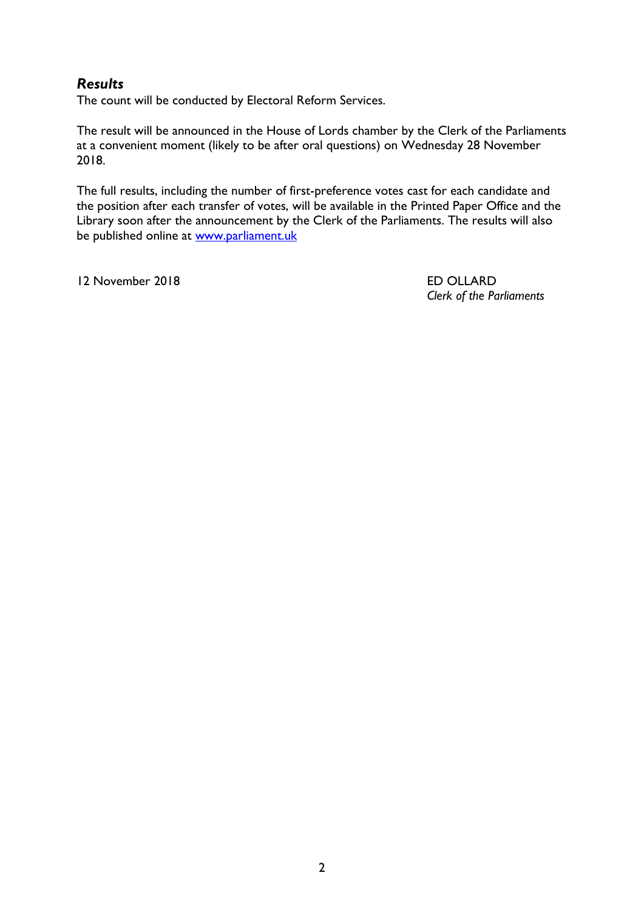## *Results*

The count will be conducted by Electoral Reform Services.

The result will be announced in the House of Lords chamber by the Clerk of the Parliaments at a convenient moment (likely to be after oral questions) on Wednesday 28 November 2018.

The full results, including the number of first-preference votes cast for each candidate and the position after each transfer of votes, will be available in the Printed Paper Office and the Library soon after the announcement by the Clerk of the Parliaments. The results will also be published online at [www.parliament.uk](http://www.parliament.uk/)

12 November 2018 ED OLLARD

*Clerk of the Parliaments*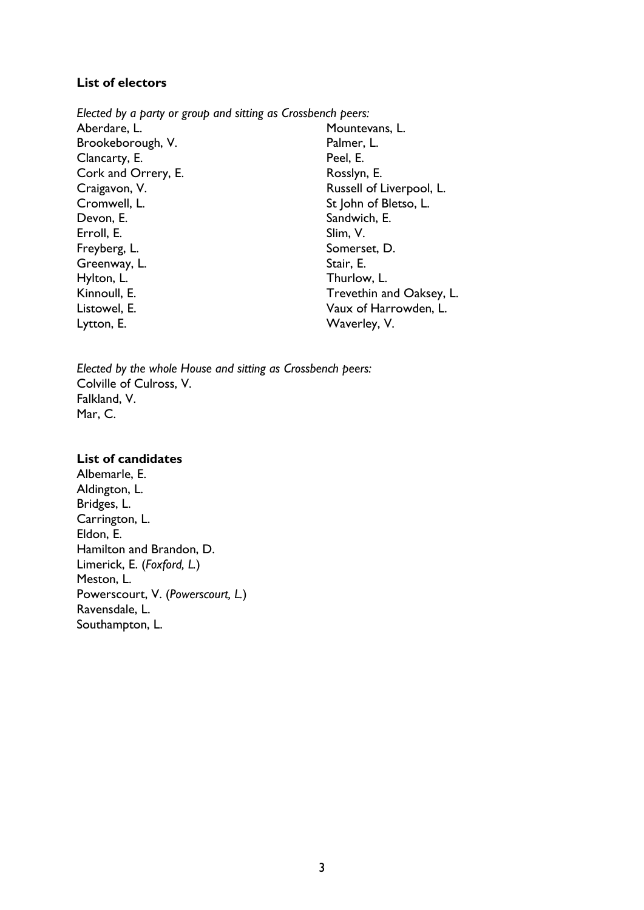#### **List of electors**

*Elected by a party or group and sitting as Crossbench peers:* Aberdare, L. Brookeborough, V. Clancarty, E. Cork and Orrery, E. Craigavon, V. Cromwell, L. Devon, E. Erroll, E. Freyberg, L. Greenway, L. Hylton, L. Kinnoull, E. Listowel, E. Lytton, E. Mountevans, L. Palmer, L. Peel, E. Rosslyn, E. Russell of Liverpool, L. St John of Bletso, L. Sandwich, E. Slim, V. Somerset, D. Stair, E. Thurlow, L. Trevethin and Oaksey, L. Vaux of Harrowden, L. Waverley, V.

*Elected by the whole House and sitting as Crossbench peers:* Colville of Culross, V. Falkland, V. Mar, C.

#### **List of candidates**

Albemarle, E. Aldington, L. Bridges, L. Carrington, L. Eldon, E. Hamilton and Brandon, D. Limerick, E. (*Foxford, L.*) Meston, L. Powerscourt, V. (*Powerscourt, L.*) Ravensdale, L. Southampton, L.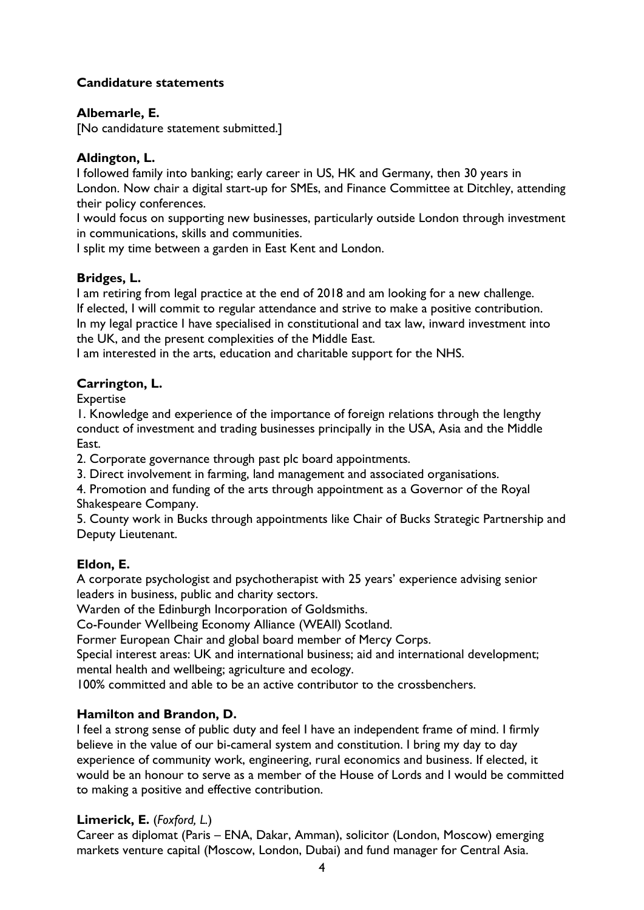## **Candidature statements**

#### **Albemarle, E.**

[No candidature statement submitted.]

## **Aldington, L.**

I followed family into banking; early career in US, HK and Germany, then 30 years in London. Now chair a digital start-up for SMEs, and Finance Committee at Ditchley, attending their policy conferences.

I would focus on supporting new businesses, particularly outside London through investment in communications, skills and communities.

I split my time between a garden in East Kent and London.

## **Bridges, L.**

I am retiring from legal practice at the end of 2018 and am looking for a new challenge. If elected, I will commit to regular attendance and strive to make a positive contribution. In my legal practice I have specialised in constitutional and tax law, inward investment into the UK, and the present complexities of the Middle East.

I am interested in the arts, education and charitable support for the NHS.

## **Carrington, L.**

Expertise

1. Knowledge and experience of the importance of foreign relations through the lengthy conduct of investment and trading businesses principally in the USA, Asia and the Middle East.

2. Corporate governance through past plc board appointments.

3. Direct involvement in farming, land management and associated organisations.

4. Promotion and funding of the arts through appointment as a Governor of the Royal Shakespeare Company.

5. County work in Bucks through appointments like Chair of Bucks Strategic Partnership and Deputy Lieutenant.

#### **Eldon, E.**

A corporate psychologist and psychotherapist with 25 years' experience advising senior leaders in business, public and charity sectors.

Warden of the Edinburgh Incorporation of Goldsmiths.

Co-Founder Wellbeing Economy Alliance (WEAll) Scotland.

Former European Chair and global board member of Mercy Corps.

Special interest areas: UK and international business; aid and international development; mental health and wellbeing; agriculture and ecology.

100% committed and able to be an active contributor to the crossbenchers.

## **Hamilton and Brandon, D.**

I feel a strong sense of public duty and feel I have an independent frame of mind. I firmly believe in the value of our bi-cameral system and constitution. I bring my day to day experience of community work, engineering, rural economics and business. If elected, it would be an honour to serve as a member of the House of Lords and I would be committed to making a positive and effective contribution.

## **Limerick, E.** (*Foxford, L.*)

Career as diplomat (Paris – ENA, Dakar, Amman), solicitor (London, Moscow) emerging markets venture capital (Moscow, London, Dubai) and fund manager for Central Asia.